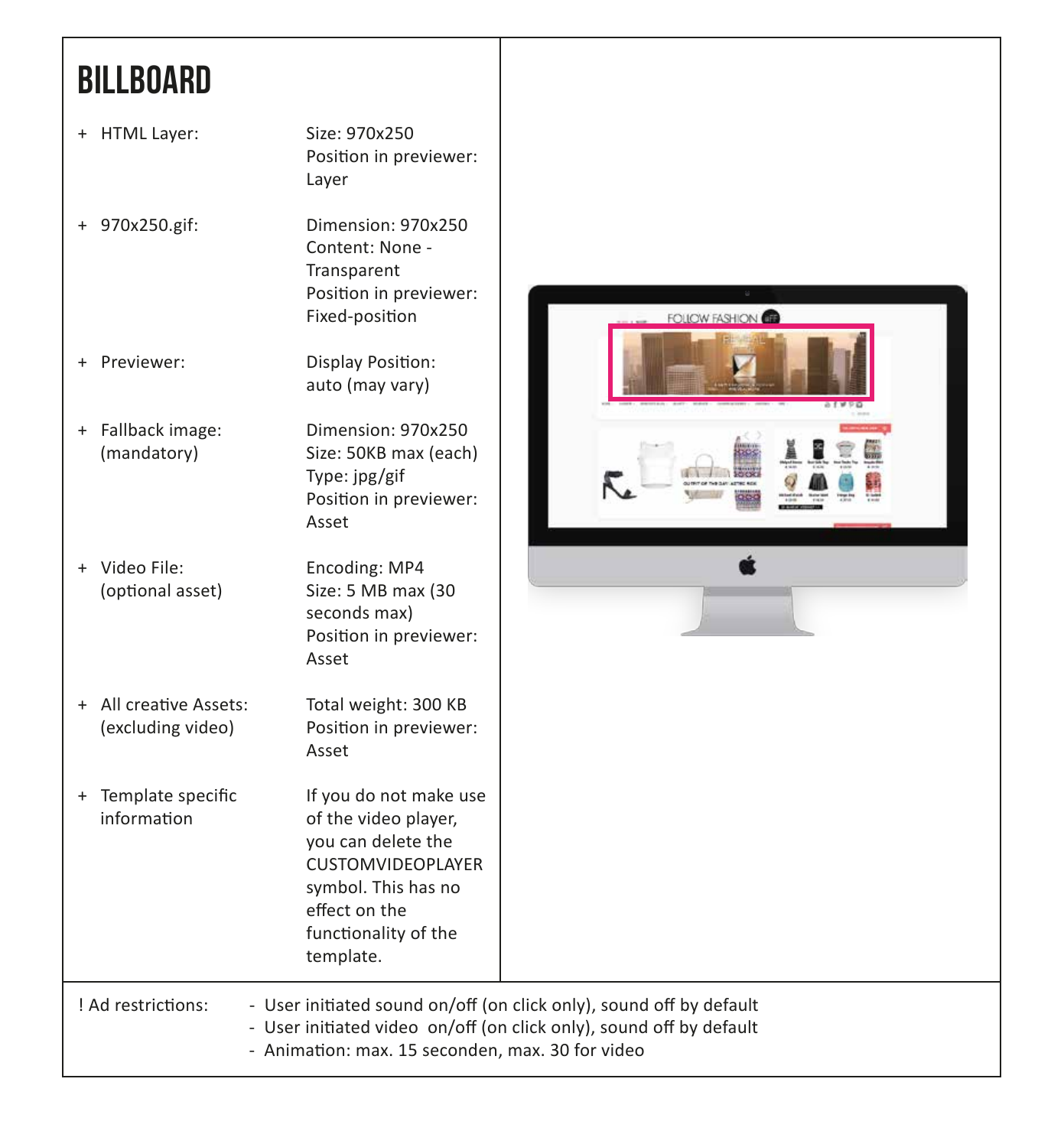# **BILLBOARD**

| + HTML Layer:                                    | Size: 970x250<br>Position in previewer:<br>Layer                                                                                                                              |                                                                                                                                            |
|--------------------------------------------------|-------------------------------------------------------------------------------------------------------------------------------------------------------------------------------|--------------------------------------------------------------------------------------------------------------------------------------------|
| + 970x250.gif:                                   | Dimension: 970x250<br>Content: None -<br>Transparent<br>Position in previewer:<br>Fixed-position                                                                              | <b>FOLICW FASHION</b>                                                                                                                      |
| Previewer:<br>÷.                                 | Display Position:<br>auto (may vary)                                                                                                                                          |                                                                                                                                            |
| Fallback image:<br>$+$<br>(mandatory)            | Dimension: 970x250<br>Size: 50KB max (each)<br>Type: jpg/gif<br>Position in previewer:<br>Asset                                                                               |                                                                                                                                            |
| + Video File:<br>(optional asset)                | Encoding: MP4<br>Size: 5 MB max (30<br>seconds max)<br>Position in previewer:<br>Asset                                                                                        |                                                                                                                                            |
| All creative Assets:<br>$+$<br>(excluding video) | Total weight: 300 KB<br>Position in previewer:<br>Asset                                                                                                                       |                                                                                                                                            |
| + Template specific<br>information               | If you do not make use<br>of the video player,<br>you can delete the<br><b>CUSTOMVIDEOPLAYER</b><br>symbol. This has no<br>effect on the<br>functionality of the<br>template. |                                                                                                                                            |
| ! Ad restrictions:                               | - Animation: max. 15 seconden, max. 30 for video                                                                                                                              | - User initiated sound on/off (on click only), sound off by default<br>- User initiated video on/off (on click only), sound off by default |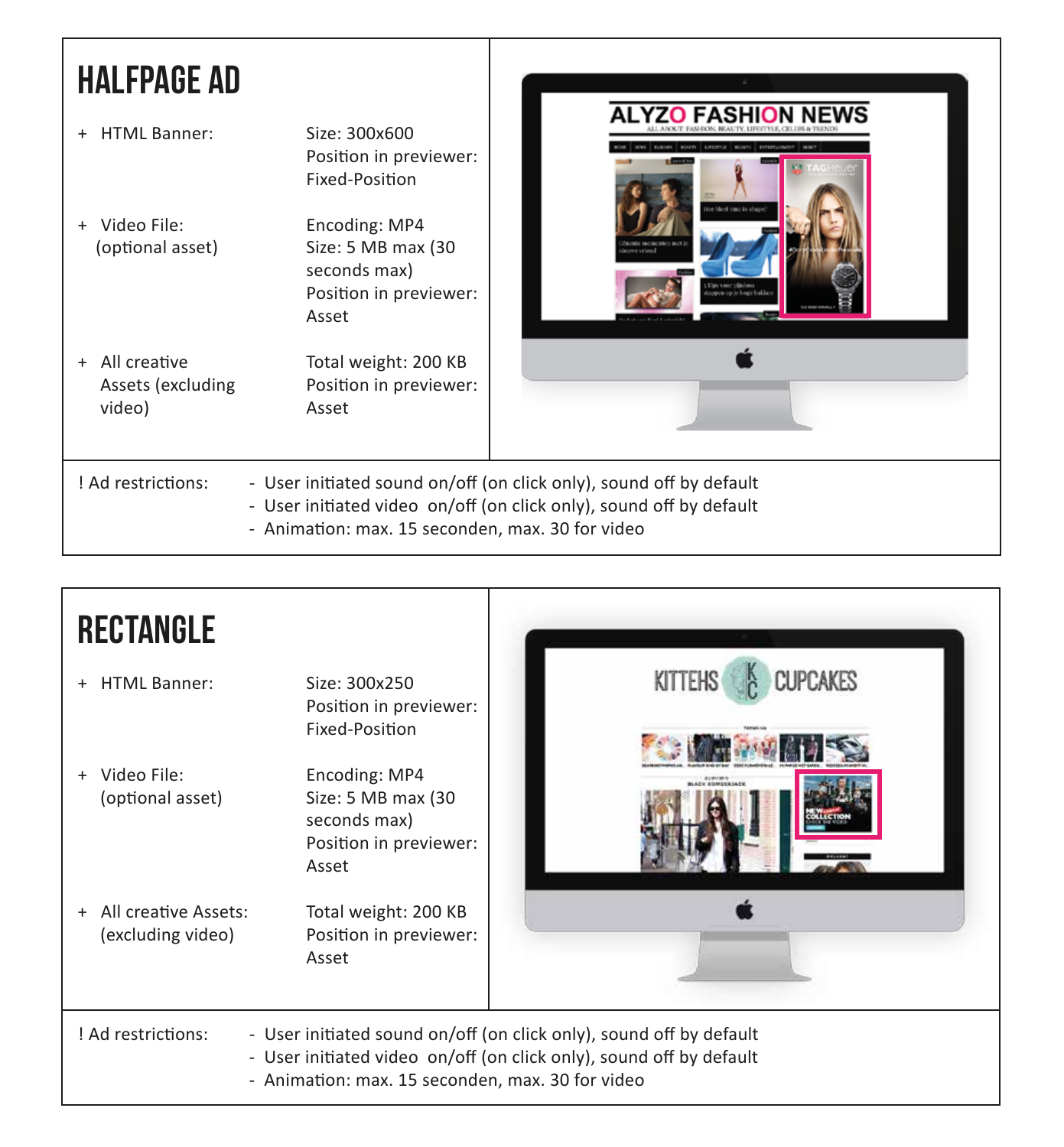#### halfpage ad

http://www.hotpinkmedia.nl/wp-content/uploads/2013/11/half-page-ad.png  $\blacksquare$  alternational method  $\blacksquare$ ALL ABOUT: FASHION, BEAUTY, LIFESTYLE, CELEIS & TRENDS. http://www.hotpinkmedia.nl/wp-content/uploads/2013/11/half-page-ad-page-ad-page-ad-page-ad-page-ad-page-ad-pagehttp://www.hotpinkmedia.nl/wp-content/uploads/2013/11/half-page-additionals-page-ad.png/ http://www.hotpinkmedia.nl/wp-content/uploads/2013/11/half-page-ad.php?hp-content/uploads/2013/11/half-page-ad http://www.hotpinkmedia.nl/wp-content/uploads/2013/11/half-page-ad.php?interferences.html  $\mathbb{R}$  is a subset of the lead of the leads  $\mathbb{R}$  and  $\mathbb{R}$  and  $\mathbb{R}$  and  $\mathbb{R}$ http://www.hotpinkmedia.nl/wp-content/uploads/2013/11/half-page-ad.png/uploads/2013/11/half-page-ad.png/uploads/2013/11/half-page-ad.png/uploads/2013/11/half-page-ad.png/uploads/2013/11/half-page-ad.png/uploads/2013/11/hal http://www.hotpinkmedia.nl/wp-content/uploads/2013/11/half-page-ad.png/uploads/2013/11/half-page-ad.png/uploads/2013/11/half-page-ad.png/uploads/2013/11/half-page-ad.png/uploads/2013/11/half-page-ad.png/uploads/2013/11/hal  $\mathcal{L}$  is a content/up and  $\mathcal{L}$  is a content/up of  $\mathcal{L}$  is a content/up of  $\mathcal{L}$ http://www.hotpinkmedia.nl/wp-content/uploads/2013/11/half-page-ad.php?hp-content/uploads/2013/11/half-page-ad http://www.hotpinkmedia.nl/wp-content/uploads/2013/11/half-page-ad.png-ad.png-ad-page-ad-page-ad-page-ad-pagehttp://www.hotpinkmedia.nl/wp-content/uploads/2013/11/half-page-ad.png/uploads/2013/11/half-page-ad.png/uploads/2013/11/half-page-ad.png/uploads/2013/11/half-page-ad.png/uploads/2013/11/half-page-ad.png/uploads/2013/11/hal http://www.hotpinkmedia.nl/wp-content/uploads/2013/11/half-page-ad.png http://www.hotpinkmedia.nl/wp-content/uploads/2013/11/half-page-ad.png + HTML Banner: Size: 300x600 Position in previewer: Fixed-Position + Video File: Encoding: MP4 (optional asset) Size: 5 MB max (30) seconds max) Position in previewer: Asset + All creative Total weight: 200 KB Assets (excluding Position in previewer: video) Asset ! Ad restrictions: - User initiated sound on/off (on click only), sound off by default - User initiated video on/off (on click only), sound off by default - Animation: max. 15 seconden, max. 30 for video

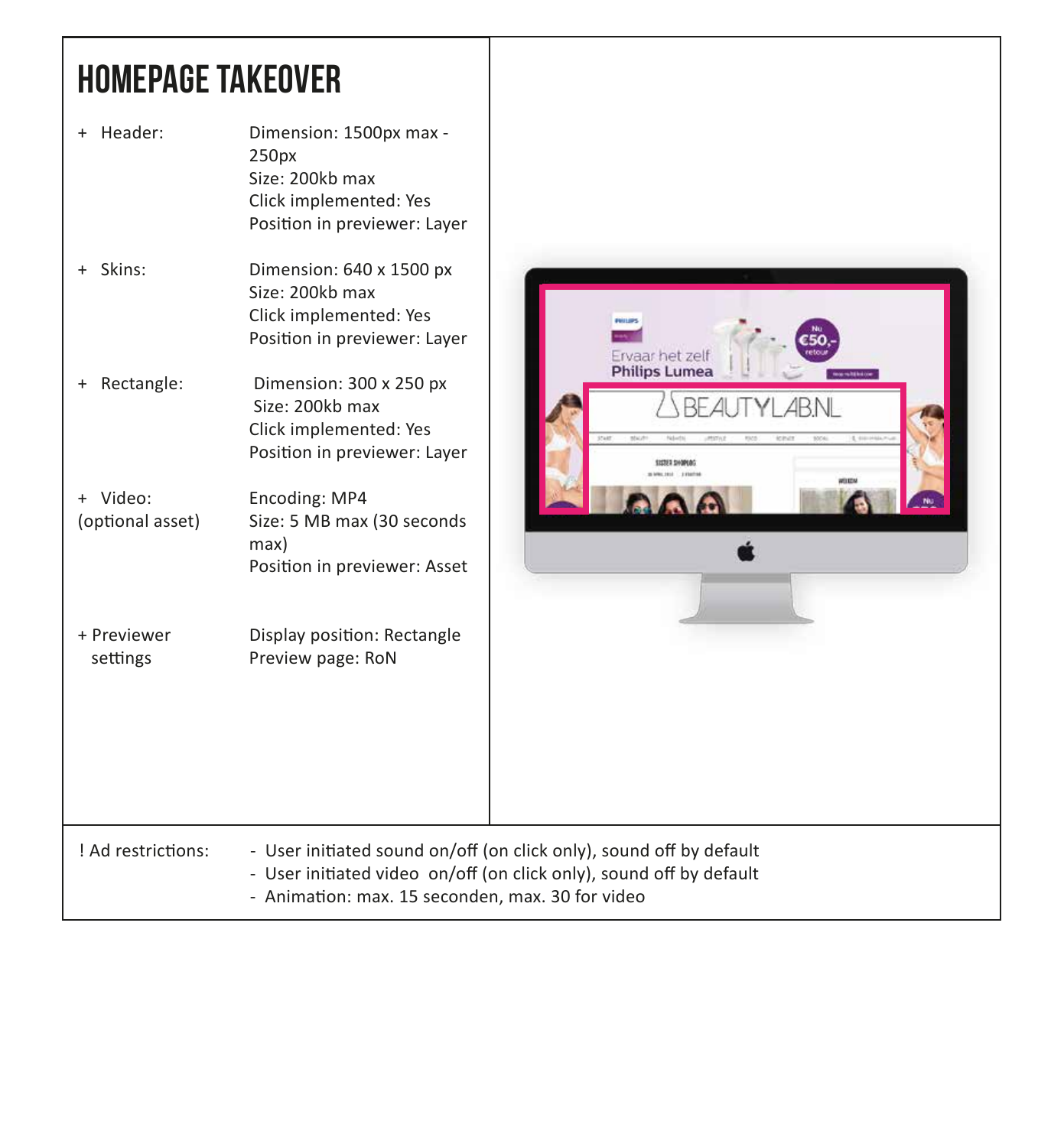### homepage takeover

| + Header:                    | Dimension: 1500px max -<br>250px<br>Size: 200kb max<br>Click implemented: Yes<br>Position in previewer: Layer |                                                                                                                                            |
|------------------------------|---------------------------------------------------------------------------------------------------------------|--------------------------------------------------------------------------------------------------------------------------------------------|
| + Skins:                     | Dimension: 640 x 1500 px<br>Size: 200kb max<br>Click implemented: Yes<br>Position in previewer: Layer         | <b>Part Line</b><br>Ervaar het zelf                                                                                                        |
| Rectangle:<br>$+$            | Dimension: 300 x 250 px<br>Size: 200kb max<br>Click implemented: Yes<br>Position in previewer: Layer          | <b>Philips Lumea</b><br>RF.<br><b>SISTUS SHOPLIN</b>                                                                                       |
| + Video:<br>(optional asset) | Encoding: MP4<br>Size: 5 MB max (30 seconds<br>max)<br>Position in previewer: Asset                           |                                                                                                                                            |
| + Previewer<br>settings      | Display position: Rectangle<br>Preview page: RoN                                                              |                                                                                                                                            |
| ! Ad restrictions:           | - Animation: max. 15 seconden, max. 30 for video                                                              | - User initiated sound on/off (on click only), sound off by default<br>- User initiated video on/off (on click only), sound off by default |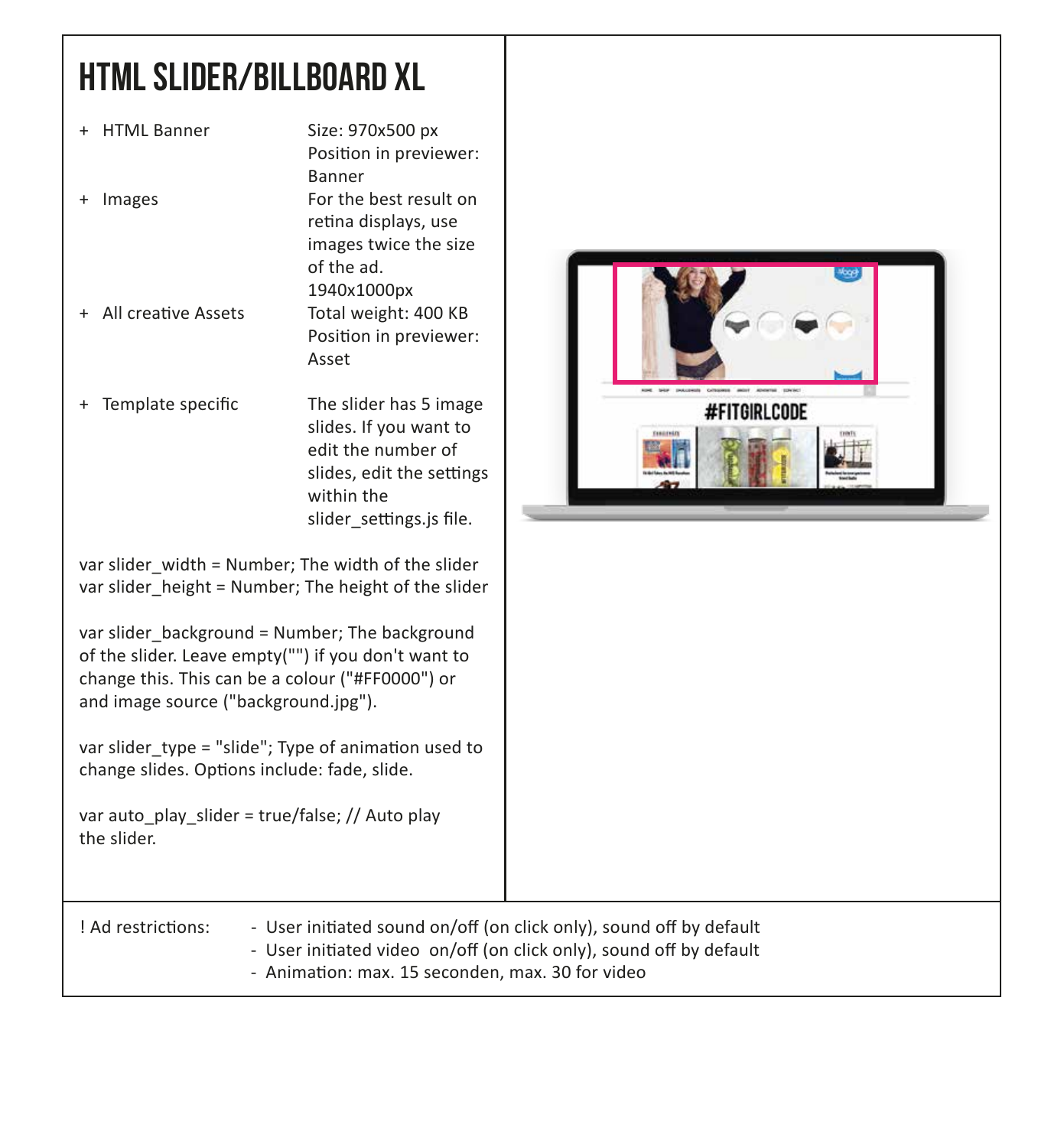# html slider/billboard xl

| + HTML Banner                                                                                                                                                                                     | Size: 970x500 px<br>Position in previewer:<br><b>Banner</b>                                                                                   |                                                                                                                                            |
|---------------------------------------------------------------------------------------------------------------------------------------------------------------------------------------------------|-----------------------------------------------------------------------------------------------------------------------------------------------|--------------------------------------------------------------------------------------------------------------------------------------------|
| + Images                                                                                                                                                                                          | For the best result on<br>retina displays, use<br>images twice the size<br>of the ad.<br>1940x1000px                                          |                                                                                                                                            |
| + All creative Assets                                                                                                                                                                             | Total weight: 400 KB<br>Position in previewer:<br>Asset                                                                                       |                                                                                                                                            |
| + Template specific                                                                                                                                                                               | The slider has 5 image<br>slides. If you want to<br>edit the number of<br>slides, edit the settings<br>within the<br>slider_settings.js file. | <b>AIRE, SHIP INAUGHING</b><br><b>MOVE</b><br>Cultures a<br>#FITGIRLCODE                                                                   |
| var slider width = Number; The width of the slider<br>var slider_height = Number; The height of the slider                                                                                        |                                                                                                                                               |                                                                                                                                            |
| var slider_background = Number; The background<br>of the slider. Leave empty("") if you don't want to<br>change this. This can be a colour ("#FF0000") or<br>and image source ("background.jpg"). |                                                                                                                                               |                                                                                                                                            |
| var slider type = "slide"; Type of animation used to<br>change slides. Options include: fade, slide.                                                                                              |                                                                                                                                               |                                                                                                                                            |
| var auto_play_slider = true/false; // Auto play<br>the slider.                                                                                                                                    |                                                                                                                                               |                                                                                                                                            |
| ! Ad restrictions:                                                                                                                                                                                | - Animation: max. 15 seconden, max. 30 for video                                                                                              | - User initiated sound on/off (on click only), sound off by default<br>- User initiated video on/off (on click only), sound off by default |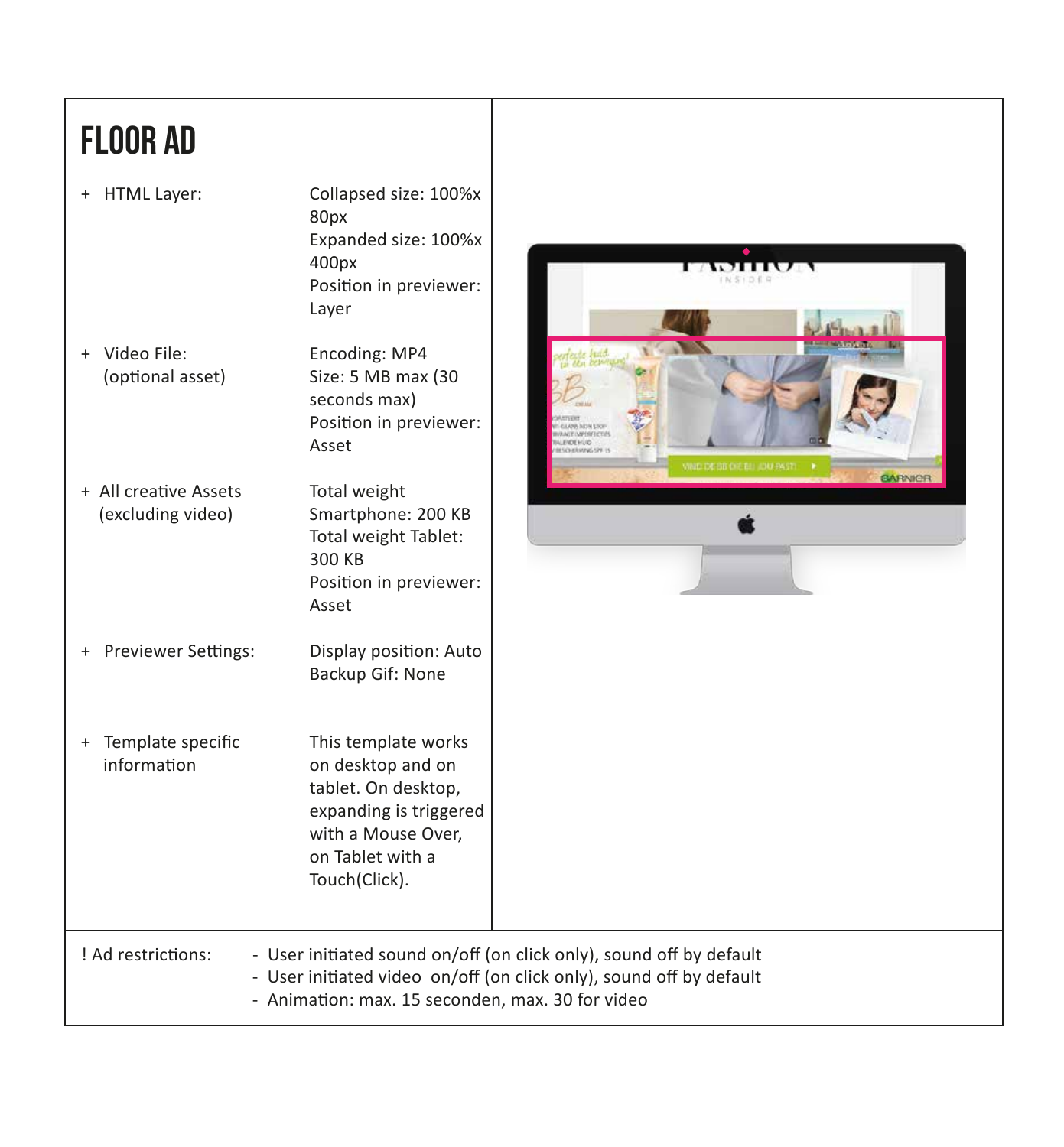# floor ad

| <b>HTML Layer:</b><br>$+$<br>+ Video File:<br>(optional asset)                                                                                                                                                       | Collapsed size: 100%x<br>80px<br>Expanded size: 100%x<br>400px<br>Position in previewer:<br>Layer<br>Encoding: MP4<br>Size: 5 MB max (30<br>seconds max) | $\bullet$                                                                                                                   |  |
|----------------------------------------------------------------------------------------------------------------------------------------------------------------------------------------------------------------------|----------------------------------------------------------------------------------------------------------------------------------------------------------|-----------------------------------------------------------------------------------------------------------------------------|--|
|                                                                                                                                                                                                                      | Position in previewer:<br>Asset                                                                                                                          | <b>GLANS INDIA STOR</b><br><b>WALT OWNER CTIES</b><br><b>LENDE HUID</b><br>ESCHERADIG SPR 15<br>VIND DE SE DIE EU JOU PAST. |  |
| + All creative Assets<br>(excluding video)                                                                                                                                                                           | Total weight<br>Smartphone: 200 KB<br>Total weight Tablet:<br>300 KB<br>Position in previewer:<br>Asset                                                  | <b>GARNICR</b>                                                                                                              |  |
| + Previewer Settings:                                                                                                                                                                                                | Display position: Auto<br>Backup Gif: None                                                                                                               |                                                                                                                             |  |
| + Template specific<br>information                                                                                                                                                                                   | This template works<br>on desktop and on<br>tablet. On desktop,<br>expanding is triggered<br>with a Mouse Over,<br>on Tablet with a<br>Touch(Click).     |                                                                                                                             |  |
| ! Ad restrictions:<br>- User initiated sound on/off (on click only), sound off by default<br>- User initiated video on/off (on click only), sound off by default<br>- Animation: max. 15 seconden, max. 30 for video |                                                                                                                                                          |                                                                                                                             |  |